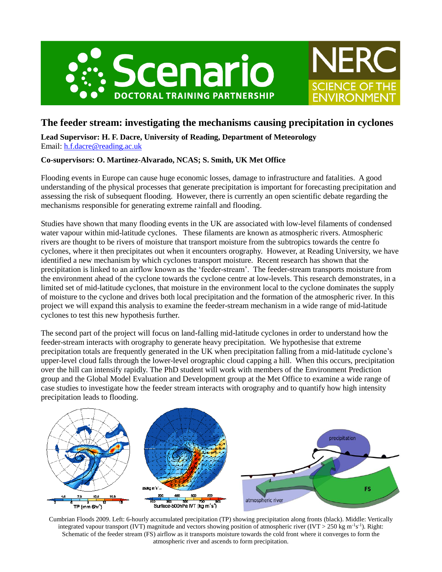



# **The feeder stream: investigating the mechanisms causing precipitation in cyclones**

**Lead Supervisor: H. F. Dacre, University of Reading, Department of Meteorology** Email: [h.f.dacre@reading.ac.uk](mailto:h.f.dacre@reading.ac.uk)

## **Co-supervisors: O. Martinez-Alvarado, NCAS; S. Smith, UK Met Office**

Flooding events in Europe can cause huge economic losses, damage to infrastructure and fatalities. A good understanding of the physical processes that generate precipitation is important for forecasting precipitation and assessing the risk of subsequent flooding. However, there is currently an open scientific debate regarding the mechanisms responsible for generating extreme rainfall and flooding.

Studies have shown that many flooding events in the UK are associated with low-level filaments of condensed water vapour within mid-latitude cyclones. These filaments are known as atmospheric rivers. Atmospheric rivers are thought to be rivers of moisture that transport moisture from the subtropics towards the centre fo cyclones, where it then precipitates out when it encounters orography. However, at Reading University, we have identified a new mechanism by which cyclones transport moisture. Recent research has shown that the precipitation is linked to an airflow known as the 'feeder-stream'. The feeder-stream transports moisture from the environment ahead of the cyclone towards the cyclone centre at low-levels. This research demonstrates, in a limited set of mid-latitude cyclones, that moisture in the environment local to the cyclone dominates the supply of moisture to the cyclone and drives both local precipitation and the formation of the atmospheric river. In this project we will expand this analysis to examine the feeder-stream mechanism in a wide range of mid-latitude cyclones to test this new hypothesis further.

The second part of the project will focus on land-falling mid-latitude cyclones in order to understand how the feeder-stream interacts with orography to generate heavy precipitation. We hypothesise that extreme precipitation totals are frequently generated in the UK when precipitation falling from a mid-latitude cyclone's upper-level cloud falls through the lower-level orographic cloud capping a hill. When this occurs, precipitation over the hill can intensify rapidly. The PhD student will work with members of the Environment Prediction group and the Global Model Evaluation and Development group at the Met Office to examine a wide range of case studies to investigate how the feeder stream interacts with orography and to quantify how high intensity precipitation leads to flooding.



Cumbrian Floods 2009. Left: 6-hourly accumulated precipitation (TP) showing precipitation along fronts (black). Middle: Vertically integrated vapour transport (IVT) magnitude and vectors showing position of atmospheric river (IVT > 250 kg m<sup>-1</sup>s<sup>-1</sup>). Right: Schematic of the feeder stream (FS) airflow as it transports moisture towards the cold front where it converges to form the atmospheric river and ascends to form precipitation.